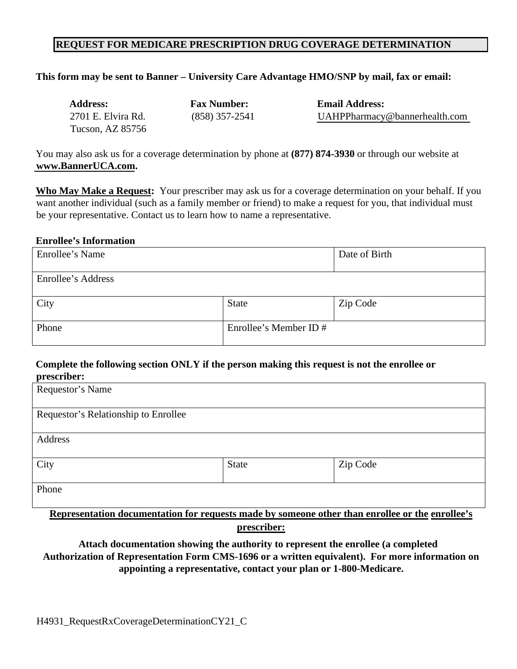#### **REQUEST FOR MEDICARE PRESCRIPTION DRUG COVERAGE DETERMINATION**

| This form may be sent to Banner – University Care Advantage HMO/SNP by mail, fax or email: |                    |                               |  |  |  |  |
|--------------------------------------------------------------------------------------------|--------------------|-------------------------------|--|--|--|--|
| <b>Address:</b>                                                                            | <b>Fax Number:</b> | <b>Email Address:</b>         |  |  |  |  |
| 2701 E. Elvira Rd.                                                                         | $(858)$ 357-2541   | UAHPPharmacy@bannerhealth.com |  |  |  |  |
| Tucson, AZ 85756                                                                           |                    |                               |  |  |  |  |

 **[www.BannerUCA.com](https://www.banneruca.com/).**  You may also ask us for a coverage determination by phone at **(877) 874-3930** or through our website at

**Who May Make a Request:** Your prescriber may ask us for a coverage determination on your behalf. If you want another individual (such as a family member or friend) to make a request for you, that individual must be your representative. Contact us to learn how to name a representative.

#### **Enrollee's Information**

| Enrollee's Name    |                        | Date of Birth |
|--------------------|------------------------|---------------|
|                    |                        |               |
| Enrollee's Address |                        |               |
|                    |                        |               |
| City               | State                  | Zip Code      |
|                    |                        |               |
| Phone              | Enrollee's Member ID # |               |
|                    |                        |               |

### **Complete the following section ONLY if the person making this request is not the enrollee or prescriber:**

| Requestor's Name                                                                                |              |          |  |
|-------------------------------------------------------------------------------------------------|--------------|----------|--|
|                                                                                                 |              |          |  |
| Requestor's Relationship to Enrollee                                                            |              |          |  |
|                                                                                                 |              |          |  |
| Address                                                                                         |              |          |  |
|                                                                                                 |              |          |  |
| City                                                                                            | <b>State</b> | Zip Code |  |
|                                                                                                 |              |          |  |
| Phone                                                                                           |              |          |  |
|                                                                                                 |              |          |  |
| Representation documentation for requests made by someone other than enrollee or the enrollee's |              |          |  |

**prescriber:** 

**Attach documentation showing the authority to represent the enrollee (a completed Authorization of Representation Form CMS-1696 or a written equivalent). For more information on appointing a representative, contact your plan or 1-800-Medicare.**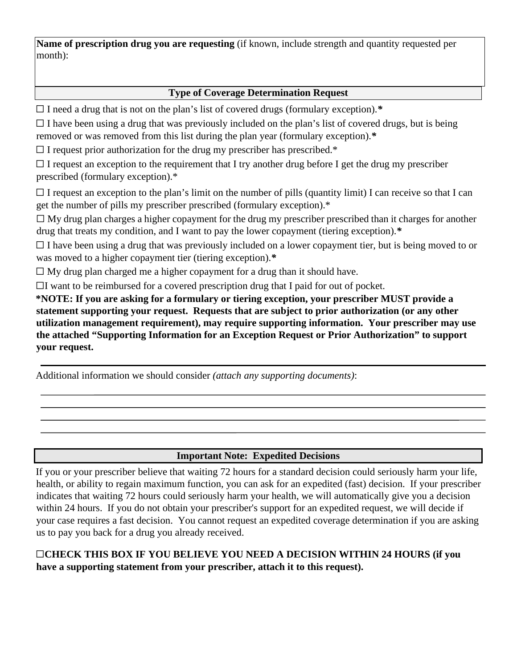month): **Name of prescription drug you are requesting** (if known, include strength and quantity requested per

# **Type of Coverage Determination Request**

☐ I need a drug that is not on the plan's list of covered drugs (formulary exception).*\** 

 removed or was removed from this list during the plan year (formulary exception).*\**   $\Box$  I have been using a drug that was previously included on the plan's list of covered drugs, but is being

 $\Box$  I request prior authorization for the drug my prescriber has prescribed.\*

 ☐ I request an exception to the requirement that I try another drug before I get the drug my prescriber prescribed (formulary exception).\*

 $\Box$  I request an exception to the plan's limit on the number of pills (quantity limit) I can receive so that I can get the number of pills my prescriber prescribed (formulary exception).\*

 ☐ My drug plan charges a higher copayment for the drug my prescriber prescribed than it charges for another drug that treats my condition, and I want to pay the lower copayment (tiering exception).*\** 

 was moved to a higher copayment tier (tiering exception).*\**  $\Box$  I have been using a drug that was previously included on a lower copayment tier, but is being moved to or

 $\Box$  My drug plan charged me a higher copayment for a drug than it should have.

 $\Box$ I want to be reimbursed for a covered prescription drug that I paid for out of pocket.

**\*NOTE: If you are asking for a formulary or tiering exception, your prescriber MUST provide a statement supporting your request. Requests that are subject to prior authorization (or any other utilization management requirement), may require supporting information. Your prescriber may use the attached "Supporting Information for an Exception Request or Prior Authorization" to support your request.** 

Additional information we should consider *(attach any supporting documents)*:

#### **Important Note: Expedited Decisions**

 health, or ability to regain maximum function, you can ask for an expedited (fast) decision. If your prescriber If you or your prescriber believe that waiting 72 hours for a standard decision could seriously harm your life, indicates that waiting 72 hours could seriously harm your health, we will automatically give you a decision within 24 hours. If you do not obtain your prescriber's support for an expedited request, we will decide if your case requires a fast decision. You cannot request an expedited coverage determination if you are asking us to pay you back for a drug you already received.

## ☐**CHECK THIS BOX IF YOU BELIEVE YOU NEED A DECISION WITHIN 24 HOURS (if you have a supporting statement from your prescriber, attach it to this request).**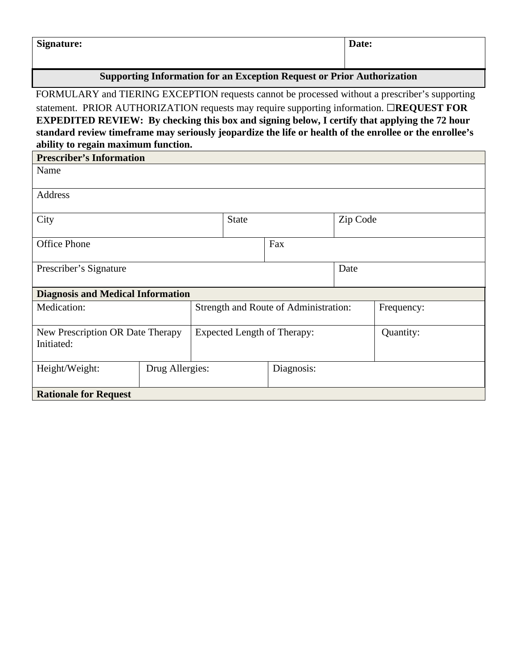| <b>Signature:</b> | $\blacksquare$<br>Date: |
|-------------------|-------------------------|
|                   |                         |

# **Supporting Information for an Exception Request or Prior Authorization**

FORMULARY and TIERING EXCEPTION requests cannot be processed without a prescriber's supporting statement. PRIOR AUTHORIZATION requests may require supporting information. □**REQUEST FOR EXPEDITED REVIEW: By checking this box and signing below, I certify that applying the 72 hour standard review timeframe may seriously jeopardize the life or health of the enrollee or the enrollee's ability to regain maximum function.** 

| <b>Prescriber's Information</b>          |                 |                                       |                                      |            |  |            |
|------------------------------------------|-----------------|---------------------------------------|--------------------------------------|------------|--|------------|
| Name                                     |                 |                                       |                                      |            |  |            |
| Address                                  |                 |                                       |                                      |            |  |            |
| City                                     |                 | <b>State</b>                          | Zip Code<br>$\overline{\phantom{0}}$ |            |  |            |
| <b>Office Phone</b>                      |                 |                                       |                                      | Fax        |  |            |
| Prescriber's Signature                   |                 |                                       |                                      | Date       |  |            |
| <b>Diagnosis and Medical Information</b> |                 |                                       |                                      |            |  |            |
| Medication:                              |                 | Strength and Route of Administration: |                                      |            |  | Frequency: |
| New Prescription OR Date Therapy         |                 | Expected Length of Therapy:           |                                      | Quantity:  |  |            |
| Initiated:                               |                 |                                       |                                      |            |  |            |
| Height/Weight:                           | Drug Allergies: |                                       |                                      | Diagnosis: |  |            |
| <b>Rationale for Request</b>             |                 |                                       |                                      |            |  |            |